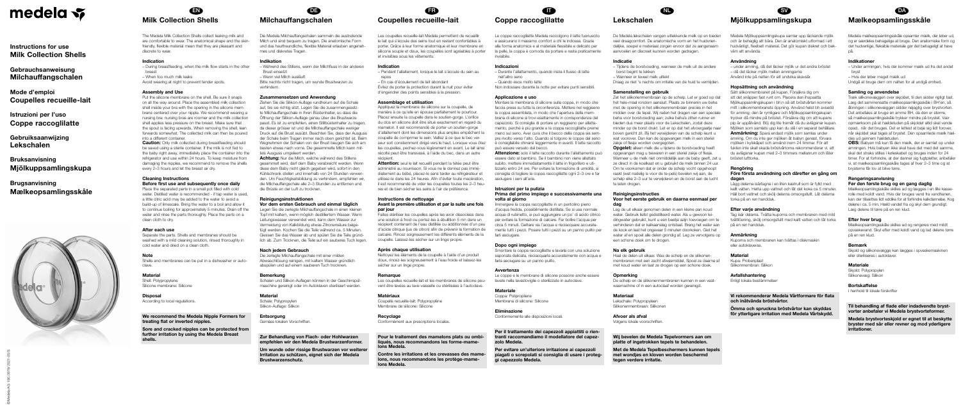# medela v

Instructions for use Milk Collection Shells

Gebrauchsanweisung Milchauffangschalen

Mode d'emploi Coupelles recueille-lait

Istruzioni per l'uso Coppe raccoglilatte

The Medela Milk Collection Shells collect leaking milk and are comfortable to wear. The anatomical shape and the skinfriendly, flexible material mean that they are pleasant and discrete to wear

Gebruiksaanwijzing Lekschalen

Bruksanvisning Mjölkuppsamlingskupa

# Brugsanvisning Mælkeopsamlingsskåle





# EN Milk Collection Shells

## Indication

– During breastfeeding, when the milk flow starts in the other hreast – When too much milk leaks Avoid wearing at night to prevent tender spots.

# Assembly and Use

**Caution:** Only milk collected during breastfeeding should be saved using a sterile container. If the milk is not fed to the baby right away, immediately place the container into the refrigerator and use within 24 hours. To keep moisture from damaging the nipples, we recommend to remove the shells every 2–3 hours and let the breast air dry.

Put the silicone membrane on the shell. Be sure it snaps on all the way around. Place the assembled milk collection shell inside your bra with the opening in the silicone membrane centered over your nipple. We recommend wearing a nursing bra; nursing bras are roomier and the milk collection shell applies less pressure on the breast. Make sure that the spout is facing upwards. When removing the shell, lean forwards somewhat. The collected milk can then be poured into a different container.

**Material** Shell: Polypropylene Silicone membrane: Silicone

# Cleaning Instructions Before first use and subsequently once daily

Place the separated parts in a small pot filled with cold water. Distilled water is recommended - if tap water is used a little citric acid may be added to the water to avoid a build-up of limescale. Bring the water to a boil and allow it to continue boiling for approximately 5 minutes. Drain off the water and rinse the parts thoroughly. Place the parts on a clean cloth to dry.

Achtung: Nur die Milch, welche während des Stillens gesammelt wird, darf dem Baby verabreicht werden. Wenn diese dem Baby nicht gleich gegeben wird, sofort in den Kühlschrank stellen und innerhalb von 24 Stunden verwenden. Um Feuchtigkeitsbildung zu verhindern, empfehlen wir, die Milchauffangschale alle 2–3 Stunden zu entfernen und die Brüste an der Luft zu trocknen.

# After each use

Separate the parts. Shells and membranes should be washed with a mild cleaning solution, rinsed thoroughly in cold water and dried on a clean cloth.

# **Note**

Shells and membranes can be put in a dishwasher or autoclave.

Disposal According to local regulations.

We recommend the Medela Nipple Formers for treating flat or inverted nipples.

Sore and cracked nipples can be protected from further irritation by using the Medela Breast shells.

Les coupelles recueille-lait Medela permettent de recueillir le lait qui s'écoule des seins tout en restant confortables à porter. Grâce à leur forme anatomique et leur membrane en silicone souple et doux, les coupelles sont agréables à porter et invisibles sous les vêtements.

# DE Milchauffangschalen

Die Medela Milchauffangschalen sammeln die austretende Milch und sind bequem zu tragen. Die anatomische Form und das hautfreundliche, flexible Material erlauben angenehmes und diskretes Tragen.

# Indikation

– Während des Stillens, wenn der Milchfluss in der anderen Brust einsetzt

– Wenn viel Milch ausläuft

Bitte nachts nicht tragen, um wunde Brustwarzen zu verhindern.

# Zusammensetzen und Anwendung

Ziehen Sie die Silikon-Auflage rundherum auf die Schale auf, bis sie richtig sitzt. Legen Sie die zusammengesetzte Milchauffangschale in Ihren Büstenhalter, so dass die Öffnung der Silikon-Auflage genau über die Brustwarze passt. Es ist zu empfehlen, einen Stillbüstenhalter zu tragen, da dieser grösser ist und die Milchauffangschale weniger Druck auf die Brust ausübt. Beachten Sie, dass der Ausguss der Schale beim Tragen immer nach oben gerichtet ist. Beim Wegnehmen der Schalen von der Brust beugen Sie sich am besten etwas nach vorne. Die gesammelte Milch kann mittels Ausguss umgeleert werden.

> Attention: seul le lait recueilli pendant la tétée peut être administré au nourrisson. Si vous ne le donnez pas immédiatement au bébé, placez-le sans tarder au réfrigérateur et utilisez-le dans les 24 heures. Afin d'éviter toute macération, il est recommandé de vider les coupelles toutes les 2–3 heures et de bien sécher les seins à l'air de préférence.

# Reinigungsinstruktionen

Vor dem ersten Gebrauch und einmal täglich Legen Sie die zerlegte Milchauffangschale in einen kleinen Topf mit kaltem, wenn möglich destilliertem Wasser. Wenn Leitungswasser verwendet wird, kann dem Wasser zur Vermeidung von Kalkbildung etwas Zitronensäure beigefügt werden. Kochen Sie die Teile während ca. 5 Minuten. Giessen Sie das Wasser ab und spülen Sie die Teile gründlich ab. Zum Trocknen, die Teile auf ein sauberes Tuch legen.

# Nach jedem Gebrauch

Die zerlegte Milchauffangschale mit einer milden Abwaschlösung reinigen, mit kaltem Wasser gründlich abspülen und auf einem sauberen Tuch trocknen.

Attenzione: solo il latte raccolto durante l'allattamento può essere dato al bambino. Se il bambino non viene allattato subito, mettere immediatamente il latte in frigorifero e utilizzarlo entro 24 ore. Per evitare la formazione di umidità, si consiglia di togliere la coppa raccoglilatte ogni 2–3 ore e far asciugare i seni all'aria.

# Bemerkung

Schalen und Silikon-Auflagen können in der Geschirrspülmaschine gereinigt oder im Autoklaven sterilisiert werden.

# **Material**

Schale: Polypropylen Silikon-Auflage: Silikon

Entsorgung Gemäss lokalen Vorschriften.

Zur Behandlung von Flach- oder Hohlwarzen empfehlen wir den Medela Brustwarzenformer.

Um wunde oder rissige Brustwarzen vor weiterer Irritation zu schützen, eignet sich der Medela Brustwarzenschutz.

# FR Coupelles recueille-lait

# Indication

– Pendant l'allaitement, lorsque le lait s'écoule du sein au repos

– En cas d'écoulement de lait abondant Évitez de porter la protection durant la nuit pour éviter d'engendrer des points sensibles à la pression.

## Assemblage et utilisation

Appliquez la membrane de silicone sur la coupelle, de manière à ce qu'elle en épouse parfaitement le pourtour. Placez ensuite la coupelle dans le soutien-gorge. L'orifice du clos en silicone doit être situé exactement en regard du mamelon. Il est recommandé de porter un soutien-gorge d'allaitement dont les dimensions plus amples empêchent la coupelle de comprimer le sein. Veillez à ce que le bec verseur soit constamment dirigé vers le haut. Lorsque vous ôtez les coupelles, pechez-vous légèrement en avant. Le lait ainsi récolté peut être transvasé, à l'aide du bec, dans un autre récipient.

# Instructions de nettoyage

# Avant la première utilisation et par la suite une fois par jour

Faites stériliser les coupelles après les avoir dissociées dans une solution à froid ou portez-les à ébullition 5 mn dans un récipient contenant de l'eau distillée ou additionnée d'un peu d'acide citrique (jus de citron) afin de prévenir la formation de calcaire. Rincez soigneusement les différents éléments de la coupelle. Laissez-les sécher sur un linge propre.

### Före första användning och därefter en gång om dagen

# Après chaque utilisation

Nettoyez les éléments de la coupelle à l'aide d'un produit doux, rincez-les soigneusement à l'eau froide et laissez-les sécher sur un linge propre.

# Remarque

Les coupelles recueille-lait et les membranes de silicone peuvent être lavées au lave-vaisselle ou stérilisées à l'autoclave.

# Matériaux

Coupelle recueille-lait: Polypropylène Membrane de silicone: Silicone

# Recyclage

Conformément aux prescriptions locales.

Pour le traitement des mamelons plats ou ombiliqués, nous recommandons les forme-mamelons Medela.

Contre les irritations et les crevasses des mamelons, nous recommandons les protège-mamelons Medela.

# Coppe raccoglilatte

Le coppe raccoglilatte Medela raccolgono il latte fuoriuscito e assicurano il massimo comfort a chi le indossa. Grazie alla forma anatomica e al materiale flessibile e delicato per la pelle, la coppa è comoda da portare e resta praticamente invisibile.

**IT** 

# Indicazioni

– Durante l'allattamento, quando inizia il flusso di latte nell'altro seno – Quando esce molto latte

Non indossare durante la notte per evitare punti sensibili.

## Applicazione e uso

Montare la membrana di silicone sulla coppa, in modo che faccia presa su tutta la circonferenza. Mettere nel reggiseno la coppa assemblata, in modo che l'apertura della membrana di silicone si trovi esattamente in corrispondenza del capezzolo. Si consiglia di portare un reggiseno per allattamento, perché è più grande e la coppa raccoglilatte preme meno sul seno. Aver cura che il becco della coppa sia sempre rivolto verso l'alto. Quando si tolgono le coppe dal seno è consigliabile chinarsi leggermente in avanti. Il latte raccolto può essere versato dal becco.

# Istruzioni per la pulizia Prima del primo impiego e successivamente una volta al giorno

Immergere la coppa raccoglilatte in un pentolino pieno d'acqua fredda, possibilmente distillata. Se si usa normale acqua di rubinetto, si può aggiungere un po' di acido citrico per evitare la formazione di calcare. Far bollire l'acqua per circa 5 minuti. Gettare via l'acqua e risciacquare accuratamente tutti i pezzi. Posare tutti i pezzi su un panno pulito per farli asciugare.

## Dopo ogni impiego

Smontare la coppa raccoglilatte e lavarla con una soluzione saponata delicata, risciacquarla accuratamente con acqua e farla asciugare su un panno pulito.

# Avvertenza

### **Materiale**

Le coppe e le membrane di silicone possono anche essere lavate nella lavastoviglie o sterilizzate in autoclave.

Coppa: Polipropilene Membrana di silicone: Silicone

# Eliminazione

# Conformemente alle disposizioni locali.

Per il trattamento dei capezzoli appiattiti o rientranti raccomandiamo il modellatore del capezzolo Medela.

Per evitare un'ulteriore irritazione ai capezzoli piagati o screpolati si consiglia di usare i proteggi capezzolo Medela.

NL

# Lekschalen

De Medela lekschalen vangen uitlekkende melk op en bieden veel draagcomfort. De anatomische vorm en het huidvriendelijke, soepel e materiaal zorgen ervoor dat ze aangenaam aanvoelen en discreet kunnen worden gedragen.

## Indicatie

- Tijdens de borstvoeding, wanneer de melk uit de andere borst begint te lekken
- Wanneer er teveel melk uitlekt

Draag ze niet 's nachts om irritatie van de huid te vermijden.

### Samenstelling en gebruik

Zet het silikonenmembraan op de schelp. Let er goed op dat het hele-maal rondom aansluit. Plaats ze binnenin uw beha met de opening in het silikonenmembraan precies in het midden over de tepel. Wij raden het dragen van een speciale beha voor borstvoeding aan; zulke beha's zitten ruimer en bieden dus meer plaats voor de Lekschalen, zodat deze minder op de borst drukt. Let er op dat het afvoergaatje naar boven gericht zit. Bij het verwijderen van de schelp leunt u wat voorover. Dan kan de opgevangen melk in een steriel zakje of flesje worden overgegoten.

**Opgelet:** alleen melk die u tijdens de borstvoeding heeft opgevangen mag u bewaren in een steriel zakje of flesje. Wanneer u de melk niet onmiddellijk aan de baby geeft, zet u ze direct in de koelkast en u gebruikt de melk binnen 24 uur. Om te voorkomen dat er onder de schelp vocht opgehoopt raakt (wat nadelig is voor de te-pels) bevelen wij aan, de schelp elke 2–3 uur te verwijderen en de borst aan de lucht te laten drogen.

# **Reinigingsinstructies**

# Voor het eerste gebruik en daarna eenmaal per dag

Leg de uit elkaar genomen delen in een kleine pan koud water. Gebruik liefst gedistilleerd water. Als u gewoon leidingwater gebruikt, kunt u een beetje azijn toevoegen om te verhinderen dat er kalkaanslag ontstaat. Breng het water aan de kook en laat het ongeveer 5 minuten doorkoken. Giet het water af en spoel alle delen grondig af. Leg ze vervolgens op een schone doek om te drogen.

### Na elk gebruik

Haal de delen uit elkaar. Was de schelp en de silikonenmembranen met een zacht afwasmiddel. Spoel ze daarna af met koud water en laat ze drogen op een schone doek.

### **Opmerking**

De schelp en de silikonenmembranen kunnen in een vaatwasmachine of in een autoclaaf worden gereinigd.

# Materiaal

Lekschale: Polypropyleen Silikonenmembraan: Silikonen

# Afvoer als afval

Volgens lokale voorschriften.

Wij bevelen de Medela Tepelvormers aan om platte of ingetrokken tepels te behandelen.

Met de Medela Tepelbeschermers kunnen tepels met wondjes en kloven worden beschermd tegen verdere irritatie.

SV

# Mjölkuppsamlingskupa

Medela Mjölkuppsamlingskupa samlar upp läckande mjölk och är behaglig att bära. Den är anatomiskt utformad i ett hudvänligt, flexibelt material. Det gör kupan diskret och bekväm att använda.

### Användning

– under amning, då det läcker mjölk ur det andra bröstet – då det läcker mjölk mellan amningarna

Använd inte på natten för att undvika skavsår.

### Hopsättning och användning

Sätt silikonmembranet på kupan. Försäkra dig om att det snäpper fast runt om. Placera den ihopsatta Mjölkuppsamlingskupan i bh:n så att bröstvårtan kommer mitt i silikonmembranets öppning. Använd helst bh avsedd för amning; den är rymligare och Mjölkuppsamlingskupan trycker då mindre på bröstet. Försäkra dig om att kupans pip är uppåtvänd. Böj dig lite framåt då du avlägsnar kupan. Mjölken som samlats upp kan du slå i en separat behållare. Anmärkning: Spara endast mjölk som samlas under amning. Om du inte ger mjölken åt babyn genast, förvara mjölken i kylskåpet och använd inom 24 timmar. För att fukten inte skall skada bröstvårtorna rekommenderar vi, att du avlägsnar kupan med 2–3 timmars mellanrum och låter bröstet lufttorka.

# Rengöring

Lägg delarna isärtagna i en liten kastrull som är fylld med kallt vatten. Hetta upp vattnet och låt det koka ca 5 minuter. Häll bort vattnet och skölj delarna omsorgsfullt. Låt delarna torka på en ren handduk.

### Efter varje användning

Tag isär delarna. Tvätta kuporna och membranen med mild tvättlösning, skölj omsorgsfullt med kallt vatten och låt torka på en ren handduk.

## Anmärkning

Kuporna och membranen kan tvättas i diskmaskin eller autoklaveras.

### Material

Kupa: Probenplast Silikonmembran: Silikon

# Avfallshantering

Enligt lokala bestämmelser

# Vi rekommenderar Medela Vårtformare för flata och inåtvända bröstvårtor.

Ömma och spruckna bröstvårtor kan skyddas för ytterligare irritation med Medela Vårtskydd.

# DA Mælkeopsamlingsskåle

Medela mælkeopsamlingsskåle opsamler mælk, der løber ud, og er særdeles behagelige at bruge. Den anatomiske form og det hudvenlige, fleksible materiale gør det behageligt at have på.

# Indikationer

- Under amningen, hvis der kommer mælk ud fra det andet bryst
- Hvis der løber meget mælk ud Undgå at bruge dem om natten for at undgå ømhed.

# Samling og anvendelse

Træk silikonevæggen over skjoldet, til den sidder rigtigt fast. Læg det sammensatte mælkeopsamlingsskåle i BH'en, så åbningen i silikonevæggen sidder nøjagtig over brystvorten. Det anbefales at bruge en amme BH, da den er størrre, så mælkeopsamlingsskåle trykker mindre på brystet. Vær opmærksom på at hældetuden på skjoldet altid skal vende opad, når det bruges. Det er lettest at bøje sig lidt forover, når skjoldet skal tages af brystet. Den opsamlede mælk hældes ud gennem hældetuden.

OBS: Babyen må kun få den mælk, der er samlet op under amningen. Hvis babyen ikke skal have det med det samme, skal det straks stilles i køleskabet og bruges inden for 24 timer. For at forhindre, at der danner sig fugtpletter, anbefaler vi, at mælkeopsamlingsskåle tages af hver 2–3 time og at brysterne får lov at blive tørre.

# Rengøringsanvisning

Før den første brug og en gang daglig Mælkeopsamlingsskåle skilles ad og lægges i en lille kasserolle med koldt vand. Hvis der bruges vand fra vandhanen, kan der tilsættes lidt eddike for at forhindre kalkdannelse. Kog delene i ca. 5 min. Hæld vandet fra og skyl dem grundigt. Læg delene til tørre på en ren klud.

# Efter hver brug

Mælkeopsamlingsskåle skilles ad og rengøres med mildt opvaskevand. Skyl efter med koldt vand og lad delene tørre på en ren klud.

# Bemærk

Skjold og silikonevægge kan lægges i opvaskemaskinen eller steriliseres i autoklaver.

# **Materiale**

Skjold: Polypropylen Silikonevæg: Silikon

# Bortskaffelse I henhold til lokale forskrifter

# Til behandling af flade eller indadvendte brystvorter anbefaler vi Medela brystvorteformer.

Medela brystvorteskjold er egnet til at beskytte bryster med sår eller revner og mod yderligere irritationer.